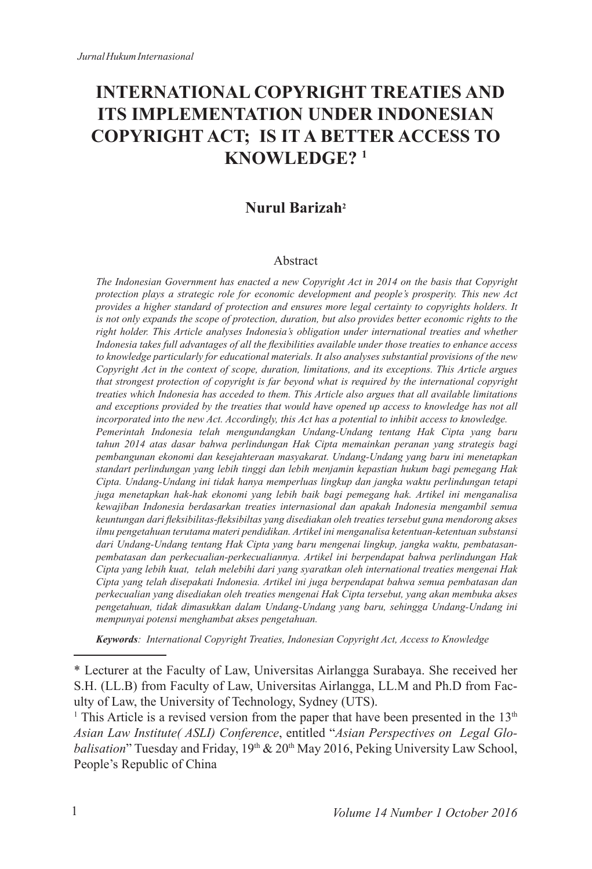# **INTERNATIONAL COPYRIGHT TREATIES AND ITS IMPLEMENTATION UNDER INDONESIAN COPYRIGHT ACT; IS IT A BETTER ACCESS TO KNOWLEDGE? <sup>1</sup>**

#### **Nurul Barizah<sup>2</sup>**

#### Abstract

*The Indonesian Government has enacted a new Copyright Act in 2014 on the basis that Copyright protection plays a strategic role for economic development and people's prosperity. This new Act provides a higher standard of protection and ensures more legal certainty to copyrights holders. It is not only expands the scope of protection, duration, but also provides better economic rights to the right holder. This Article analyses Indonesia's obligation under international treaties and whether*  Indonesia takes full advantages of all the flexibilities available under those treaties to enhance access *to knowledge particularly for educational materials. It also analyses substantial provisions of the new Copyright Act in the context of scope, duration, limitations, and its exceptions. This Article argues that strongest protection of copyright is far beyond what is required by the international copyright treaties which Indonesia has acceded to them. This Article also argues that all available limitations and exceptions provided by the treaties that would have opened up access to knowledge has not all incorporated into the new Act. Accordingly, this Act has a potential to inhibit access to knowledge. Pemerintah Indonesia telah mengundangkan Undang-Undang tentang Hak Cipta yang baru tahun 2014 atas dasar bahwa perlindungan Hak Cipta memainkan peranan yang strategis bagi pembangunan ekonomi dan kesejahteraan masyakarat. Undang-Undang yang baru ini menetapkan standart perlindungan yang lebih tinggi dan lebih menjamin kepastian hukum bagi pemegang Hak Cipta. Undang-Undang ini tidak hanya memperluas lingkup dan jangka waktu perlindungan tetapi juga menetapkan hak-hak ekonomi yang lebih baik bagi pemegang hak. Artikel ini menganalisa kewajiban Indonesia berdasarkan treaties internasional dan apakah Indonesia mengambil semua*  keuntungan dari fleksibilitas-fleksibiltas yang disediakan oleh treaties tersebut guna mendorong akses *ilmu pengetahuan terutama materi pendidikan. Artikel ini menganalisa ketentuan-ketentuan substansi dari Undang-Undang tentang Hak Cipta yang baru mengenai lingkup, jangka waktu, pembatasanpembatasan dan perkecualian-perkecualiannya. Artikel ini berpendapat bahwa perlindungan Hak Cipta yang lebih kuat, telah melebihi dari yang syaratkan oleh international treaties mengenai Hak Cipta yang telah disepakati Indonesia. Artikel ini juga berpendapat bahwa semua pembatasan dan perkecualian yang disediakan oleh treaties mengenai Hak Cipta tersebut, yang akan membuka akses pengetahuan, tidak dimasukkan dalam Undang-Undang yang baru, sehingga Undang-Undang ini mempunyai potensi menghambat akses pengetahuan.* 

*Keywords: International Copyright Treaties, Indonesian Copyright Act, Access to Knowledge*

<sup>\*</sup> Lecturer at the Faculty of Law, Universitas Airlangga Surabaya. She received her S.H. (LL.B) from Faculty of Law, Universitas Airlangga, LL.M and Ph.D from Faculty of Law, the University of Technology, Sydney (UTS).

<sup>&</sup>lt;sup>1</sup> This Article is a revised version from the paper that have been presented in the  $13<sup>th</sup>$ *Asian Law Institute( ASLI) Conference*, entitled "*Asian Perspectives on Legal Globalisation*" Tuesday and Friday,  $19<sup>th</sup> \& 20<sup>th</sup>$  May 2016, Peking University Law School, People's Republic of China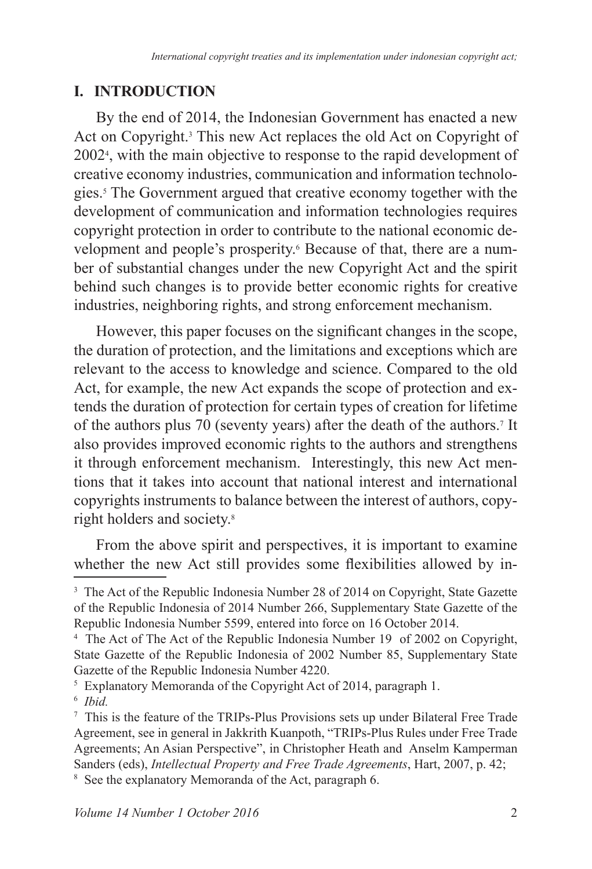## **I. INTRODUCTION**

By the end of 2014, the Indonesian Government has enacted a new Act on Copyright.<sup>3</sup> This new Act replaces the old Act on Copyright of 2002<sup>4</sup>, with the main objective to response to the rapid development of creative economy industries, communication and information technologies. The Government argued that creative economy together with the development of communication and information technologies requires copyright protection in order to contribute to the national economic development and people's prosperity.<sup>6</sup> Because of that, there are a number of substantial changes under the new Copyright Act and the spirit behind such changes is to provide better economic rights for creative industries, neighboring rights, and strong enforcement mechanism.

However, this paper focuses on the significant changes in the scope, the duration of protection, and the limitations and exceptions which are relevant to the access to knowledge and science. Compared to the old Act, for example, the new Act expands the scope of protection and extends the duration of protection for certain types of creation for lifetime of the authors plus 70 (seventy years) after the death of the authors.<sup>7</sup> It also provides improved economic rights to the authors and strengthens it through enforcement mechanism. Interestingly, this new Act mentions that it takes into account that national interest and international copyrights instruments to balance between the interest of authors, copyright holders and society.

From the above spirit and perspectives, it is important to examine whether the new Act still provides some flexibilities allowed by in-

 $5$  Explanatory Memoranda of the Copyright Act of 2014, paragraph 1.

<sup>&</sup>lt;sup>3</sup> The Act of the Republic Indonesia Number 28 of 2014 on Copyright, State Gazette of the Republic Indonesia of 2014 Number 266, Supplementary State Gazette of the Republic Indonesia Number 5599, entered into force on 16 October 2014.

<sup>&</sup>lt;sup>4</sup> The Act of The Act of the Republic Indonesia Number 19 of 2002 on Copyright, State Gazette of the Republic Indonesia of 2002 Number 85, Supplementary State Gazette of the Republic Indonesia Number 4220.

<sup>6</sup> *Ibid.*

<sup>&</sup>lt;sup>7</sup> This is the feature of the TRIPs-Plus Provisions sets up under Bilateral Free Trade Agreement, see in general in Jakkrith Kuanpoth, "TRIPs-Plus Rules under Free Trade Agreements; An Asian Perspective", in Christopher Heath and Anselm Kamperman Sanders (eds), *Intellectual Property and Free Trade Agreements*, Hart, 2007, p. 42;

<sup>&</sup>lt;sup>8</sup> See the explanatory Memoranda of the Act, paragraph 6.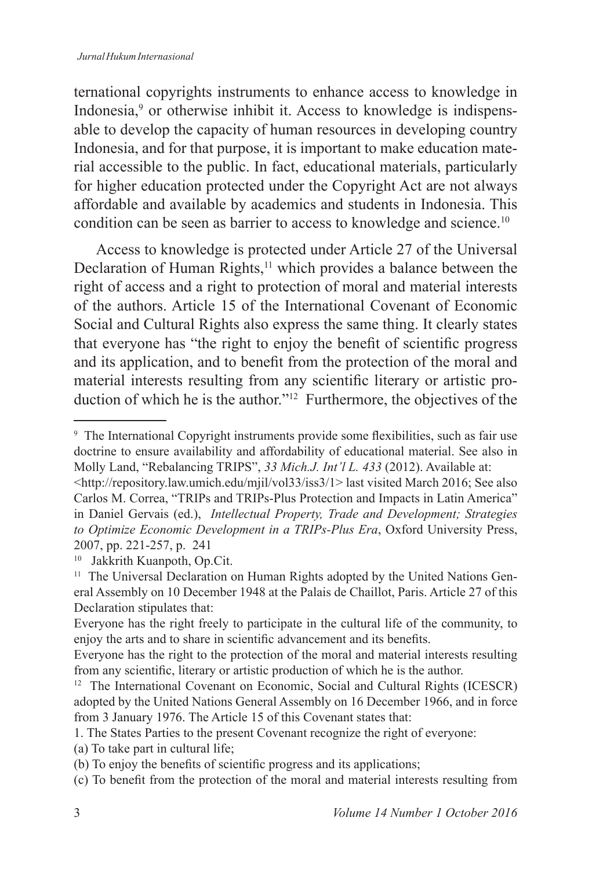ternational copyrights instruments to enhance access to knowledge in Indonesia,<sup>9</sup> or otherwise inhibit it. Access to knowledge is indispensable to develop the capacity of human resources in developing country Indonesia, and for that purpose, it is important to make education material accessible to the public. In fact, educational materials, particularly for higher education protected under the Copyright Act are not always affordable and available by academics and students in Indonesia. This condition can be seen as barrier to access to knowledge and science.<sup>10</sup>

Access to knowledge is protected under Article 27 of the Universal Declaration of Human Rights,<sup>11</sup> which provides a balance between the right of access and a right to protection of moral and material interests of the authors. Article 15 of the International Covenant of Economic Social and Cultural Rights also express the same thing. It clearly states that everyone has "the right to enjoy the benefit of scientific progress" and its application, and to benefit from the protection of the moral and material interests resulting from any scientific literary or artistic production of which he is the author."<sup>12</sup> Furthermore, the objectives of the

<sup>&</sup>lt;sup>9</sup> The International Copyright instruments provide some flexibilities, such as fair use doctrine to ensure availability and affordability of educational material. See also in Molly Land, "Rebalancing TRIPS", 33 Mich.J. Int'l L. 433 (2012). Available at:

<sup>&</sup>lt;http://repository.law.umich.edu/mjil/vol33/iss3/1> last visited March 2016; See also Carlos M. Correa, "TRIPs and TRIPs-Plus Protection and Impacts in Latin America" in Daniel Gervais (ed.), *Intellectual Property, Trade and Development; Strategies to Optimize Economic Development in a TRIPs-Plus Era*, Oxford University Press, 2007, pp. 221-257, p. 241

<sup>10</sup> Jakkrith Kuanpoth, Op.Cit.

<sup>&</sup>lt;sup>11</sup> The Universal Declaration on Human Rights adopted by the United Nations General Assembly on 10 December 1948 at the Palais de Chaillot, Paris. Article 27 of this Declaration stipulates that:

Everyone has the right freely to participate in the cultural life of the community, to enjoy the arts and to share in scientific advancement and its benefits.

Everyone has the right to the protection of the moral and material interests resulting from any scientific, literary or artistic production of which he is the author.

<sup>&</sup>lt;sup>12</sup> The International Covenant on Economic, Social and Cultural Rights (ICESCR) adopted by the United Nations General Assembly on 16 December 1966, and in force from 3 January 1976. The Article 15 of this Covenant states that:

<sup>1.</sup> The States Parties to the present Covenant recognize the right of everyone:

<sup>(</sup>a) To take part in cultural life;

 $\dot{\theta}$ ) To enjoy the benefits of scientific progress and its applications;

<sup>(</sup>c) To benefit from the protection of the moral and material interests resulting from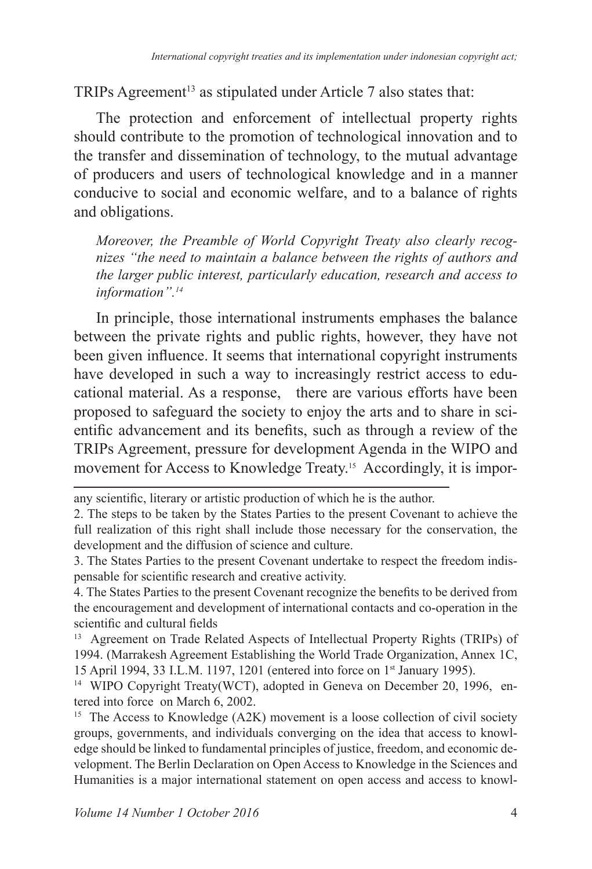TRIPs Agreement<sup>13</sup> as stipulated under Article 7 also states that:

The protection and enforcement of intellectual property rights should contribute to the promotion of technological innovation and to the transfer and dissemination of technology, to the mutual advantage of producers and users of technological knowledge and in a manner conducive to social and economic welfare, and to a balance of rights and obligations.

*Moreover, the Preamble of World Copyright Treaty also clearly recognizes "the need to maintain a balance between the rights of authors and the larger public interest, particularly education, research and access to information".<sup>14</sup>*

In principle, those international instruments emphases the balance between the private rights and public rights, however, they have not been given influence. It seems that international copyright instruments have developed in such a way to increasingly restrict access to educational material. As a response, there are various efforts have been proposed to safeguard the society to enjoy the arts and to share in scientific advancement and its benefits, such as through a review of the TRIPs Agreement, pressure for development Agenda in the WIPO and movement for Access to Knowledge Treaty.<sup>15</sup> Accordingly, it is impor-

4. The States Parties to the present Covenant recognize the benefits to be derived from the encouragement and development of international contacts and co-operation in the scientific and cultural fields

<sup>13</sup> Agreement on Trade Related Aspects of Intellectual Property Rights (TRIPs) of 1994. (Marrakesh Agreement Establishing the World Trade Organization, Annex 1C, 15 April 1994, 33 I.L.M. 1197, 1201 (entered into force on 1<sup>st</sup> January 1995).

<sup>14</sup> WIPO Copyright Treaty(WCT), adopted in Geneva on December 20, 1996, entered into force on March 6, 2002.

<sup>15</sup> The Access to Knowledge (A2K) movement is a loose collection of civil society groups, governments, and individuals converging on the idea that access to knowledge should be linked to fundamental principles of justice, freedom, and economic development. The Berlin Declaration on Open Access to Knowledge in the Sciences and Humanities is a major international statement on open access and access to knowl-

any scientific, literary or artistic production of which he is the author.

<sup>2.</sup> The steps to be taken by the States Parties to the present Covenant to achieve the full realization of this right shall include those necessary for the conservation, the development and the diffusion of science and culture.

<sup>3.</sup> The States Parties to the present Covenant undertake to respect the freedom indispensable for scientific research and creative activity.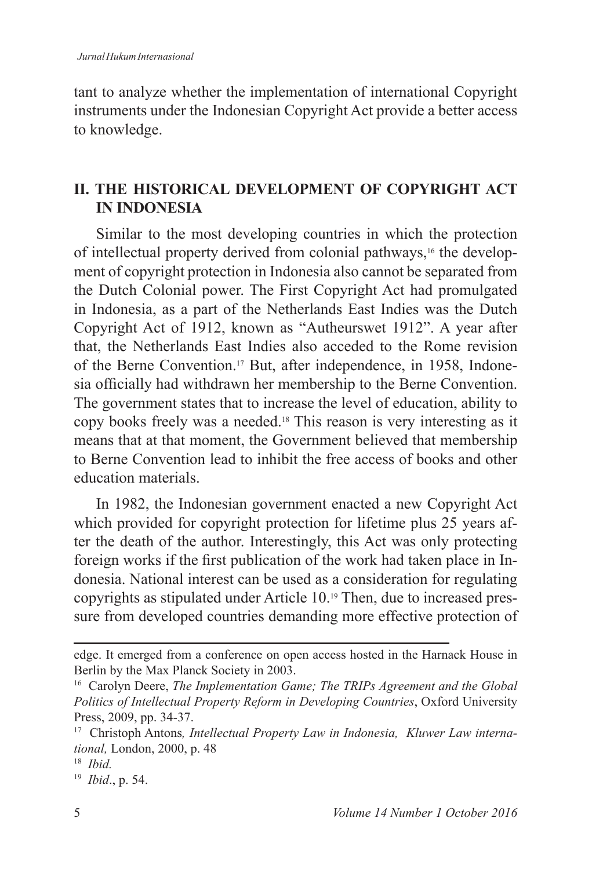tant to analyze whether the implementation of international Copyright instruments under the Indonesian Copyright Act provide a better access to knowledge.

## **II. THE HISTORICAL DEVELOPMENT OF COPYRIGHT ACT IN INDONESIA**

Similar to the most developing countries in which the protection of intellectual property derived from colonial pathways,<sup>16</sup> the development of copyright protection in Indonesia also cannot be separated from the Dutch Colonial power. The First Copyright Act had promulgated in Indonesia, as a part of the Netherlands East Indies was the Dutch Copyright Act of 1912, known as "Autheurswet 1912". A year after that, the Netherlands East Indies also acceded to the Rome revision of the Berne Convention.<sup>17</sup> But, after independence, in 1958, Indonesia officially had withdrawn her membership to the Berne Convention. The government states that to increase the level of education, ability to copy books freely was a needed.<sup>18</sup> This reason is very interesting as it means that at that moment, the Government believed that membership to Berne Convention lead to inhibit the free access of books and other education materials.

In 1982, the Indonesian government enacted a new Copyright Act which provided for copyright protection for lifetime plus 25 years after the death of the author. Interestingly, this Act was only protecting foreign works if the first publication of the work had taken place in Indonesia. National interest can be used as a consideration for regulating copyrights as stipulated under Article 10.19 Then, due to increased pressure from developed countries demanding more effective protection of

edge. It emerged from a conference on open access hosted in the Harnack House in Berlin by the Max Planck Society in 2003.

<sup>16</sup> Carolyn Deere, *The Implementation Game; The TRIPs Agreement and the Global Politics of Intellectual Property Reform in Developing Countries*, Oxford University Press, 2009, pp. 34-37.

<sup>17</sup> Christoph Antons*, Intellectual Property Law in Indonesia, Kluwer Law international*, London, 2000, p. 48

 *Ibid.*

<sup>&</sup>lt;sup>19</sup> *Ibid.*, p. 54.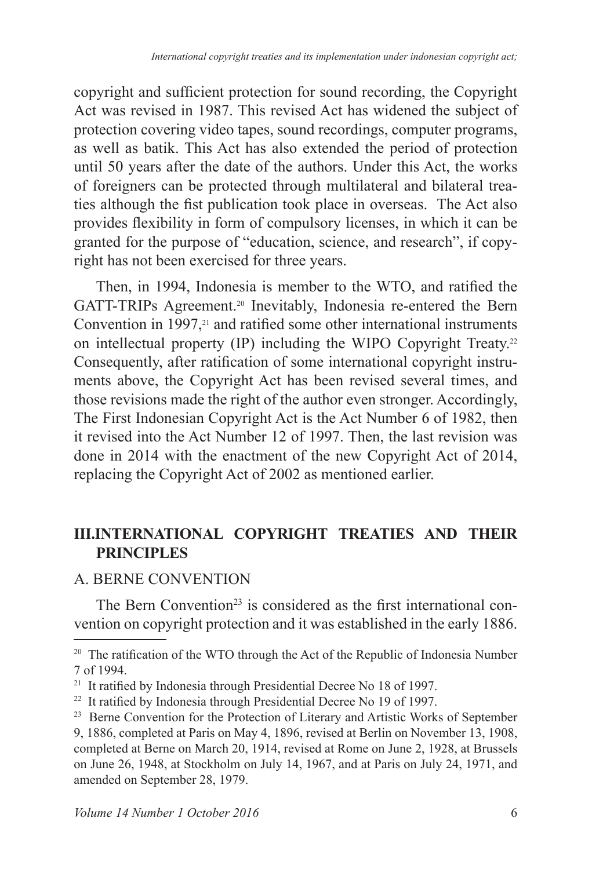copyright and sufficient protection for sound recording, the Copyright Act was revised in 1987. This revised Act has widened the subject of protection covering video tapes, sound recordings, computer programs, as well as batik. This Act has also extended the period of protection until 50 years after the date of the authors. Under this Act, the works of foreigners can be protected through multilateral and bilateral treaties although the fist publication took place in overseas. The Act also provides flexibility in form of compulsory licenses, in which it can be granted for the purpose of "education, science, and research", if copyright has not been exercised for three years.

Then, in 1994, Indonesia is member to the WTO, and ratified the GATT-TRIPs Agreement.<sup>20</sup> Inevitably, Indonesia re-entered the Bern Convention in 1997, $2<sup>1</sup>$  and ratified some other international instruments on intellectual property (IP) including the WIPO Copyright Treaty. Consequently, after ratification of some international copyright instruments above, the Copyright Act has been revised several times, and those revisions made the right of the author even stronger. Accordingly, The First Indonesian Copyright Act is the Act Number 6 of 1982, then it revised into the Act Number 12 of 1997. Then, the last revision was done in 2014 with the enactment of the new Copyright Act of 2014, replacing the Copyright Act of 2002 as mentioned earlier.

## **III.INTERNATIONAL COPYRIGHT TREATIES AND THEIR PRINCIPLES**

## A. BERNE CONVENTION

The Bern Convention<sup>23</sup> is considered as the first international convention on copyright protection and it was established in the early 1886.

<sup>&</sup>lt;sup>20</sup> The ratification of the WTO through the Act of the Republic of Indonesia Number 7 of 1994.

<sup>&</sup>lt;sup>21</sup> It ratified by Indonesia through Presidential Decree No 18 of 1997.

 $22$  It ratified by Indonesia through Presidential Decree No 19 of 1997.

<sup>&</sup>lt;sup>23</sup> Berne Convention for the Protection of Literary and Artistic Works of September

<sup>9, 1886,</sup> completed at Paris on May 4, 1896, revised at Berlin on November 13, 1908, completed at Berne on March 20, 1914, revised at Rome on June 2, 1928, at Brussels on June 26, 1948, at Stockholm on July 14, 1967, and at Paris on July 24, 1971, and amended on September 28, 1979.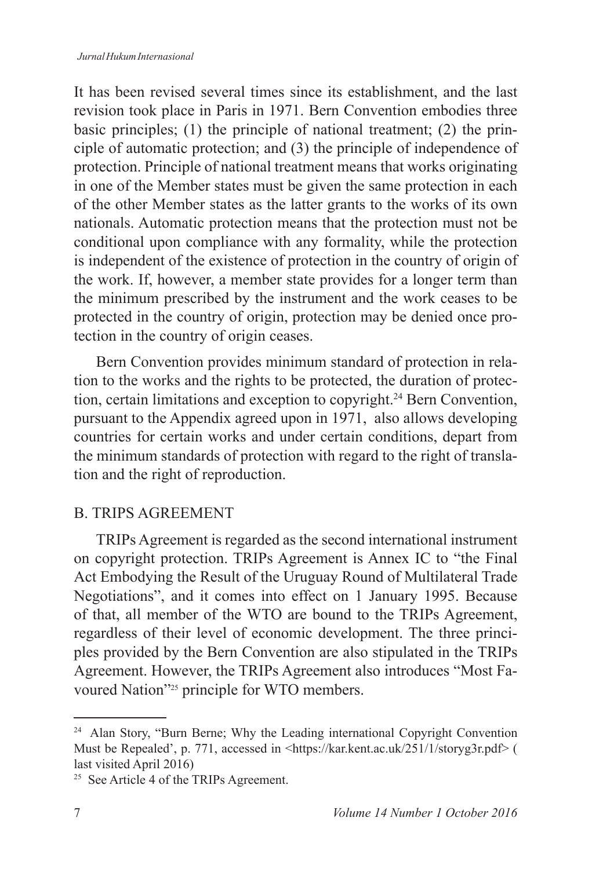It has been revised several times since its establishment, and the last revision took place in Paris in 1971. Bern Convention embodies three basic principles; (1) the principle of national treatment; (2) the principle of automatic protection; and (3) the principle of independence of protection. Principle of national treatment means that works originating in one of the Member states must be given the same protection in each of the other Member states as the latter grants to the works of its own nationals. Automatic protection means that the protection must not be conditional upon compliance with any formality, while the protection is independent of the existence of protection in the country of origin of the work. If, however, a member state provides for a longer term than the minimum prescribed by the instrument and the work ceases to be protected in the country of origin, protection may be denied once protection in the country of origin ceases.

Bern Convention provides minimum standard of protection in relation to the works and the rights to be protected, the duration of protection, certain limitations and exception to copyright.<sup>24</sup> Bern Convention, pursuant to the Appendix agreed upon in 1971, also allows developing countries for certain works and under certain conditions, depart from the minimum standards of protection with regard to the right of translation and the right of reproduction.

## B. TRIPS AGREEMENT

TRIPs Agreement is regarded as the second international instrument on copyright protection. TRIPs Agreement is Annex IC to "the Final Act Embodying the Result of the Uruguay Round of Multilateral Trade Negotiations", and it comes into effect on 1 January 1995. Because of that, all member of the WTO are bound to the TRIPs Agreement, regardless of their level of economic development. The three principles provided by the Bern Convention are also stipulated in the TRIPs Agreement. However, the TRIPs Agreement also introduces "Most Favoured Nation"<sup>25</sup> principle for WTO members.

<sup>&</sup>lt;sup>24</sup> Alan Story, "Burn Berne; Why the Leading international Copyright Convention Must be Repealed', p. 771, accessed in <https://kar.kent.ac.uk/251/1/storyg3r.pdf> ( last visited April 2016)

<sup>&</sup>lt;sup>25</sup> See Article 4 of the TRIPs Agreement.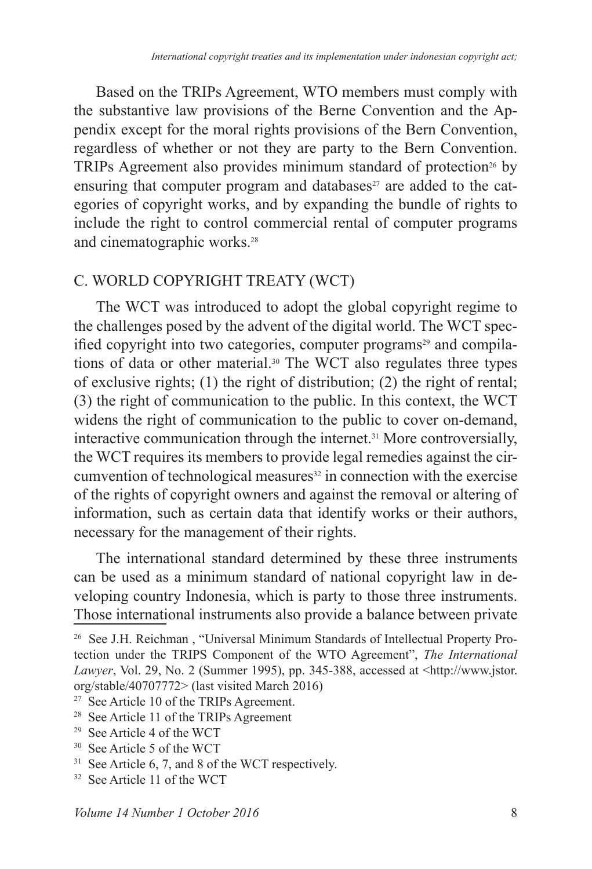Based on the TRIPs Agreement, WTO members must comply with the substantive law provisions of the Berne Convention and the Appendix except for the moral rights provisions of the Bern Convention, regardless of whether or not they are party to the Bern Convention. TRIPs Agreement also provides minimum standard of protection<sup>26</sup> by ensuring that computer program and databases $27$  are added to the categories of copyright works, and by expanding the bundle of rights to include the right to control commercial rental of computer programs and cinematographic works.

#### C. WORLD COPYRIGHT TREATY (WCT)

The WCT was introduced to adopt the global copyright regime to the challenges posed by the advent of the digital world. The WCT specified copyright into two categories, computer programs<sup>29</sup> and compilations of data or other material.<sup>30</sup> The WCT also regulates three types of exclusive rights; (1) the right of distribution; (2) the right of rental; (3) the right of communication to the public. In this context, the WCT widens the right of communication to the public to cover on-demand, interactive communication through the internet.31 More controversially, the WCT requires its members to provide legal remedies against the circumvention of technological measures<sup>32</sup> in connection with the exercise of the rights of copyright owners and against the removal or altering of information, such as certain data that identify works or their authors, necessary for the management of their rights.

The international standard determined by these three instruments can be used as a minimum standard of national copyright law in developing country Indonesia, which is party to those three instruments. Those international instruments also provide a balance between private

 $29$  See Article 4 of the WCT

<sup>&</sup>lt;sup>26</sup> See J.H. Reichman, "Universal Minimum Standards of Intellectual Property Protection under the TRIPS Component of the WTO Agreement", *The International Lawyer*, Vol. 29, No. 2 (Summer 1995), pp. 345-388, accessed at <http://www.jstor. org/stable/40707772> (last visited March 2016)

<sup>&</sup>lt;sup>27</sup> See Article 10 of the TRIPs Agreement.

<sup>&</sup>lt;sup>28</sup> See Article 11 of the TRIPs Agreement

<sup>&</sup>lt;sup>30</sup> See Article 5 of the WCT

 $31$  See Article 6, 7, and 8 of the WCT respectively.

<sup>&</sup>lt;sup>32</sup> See Article 11 of the WCT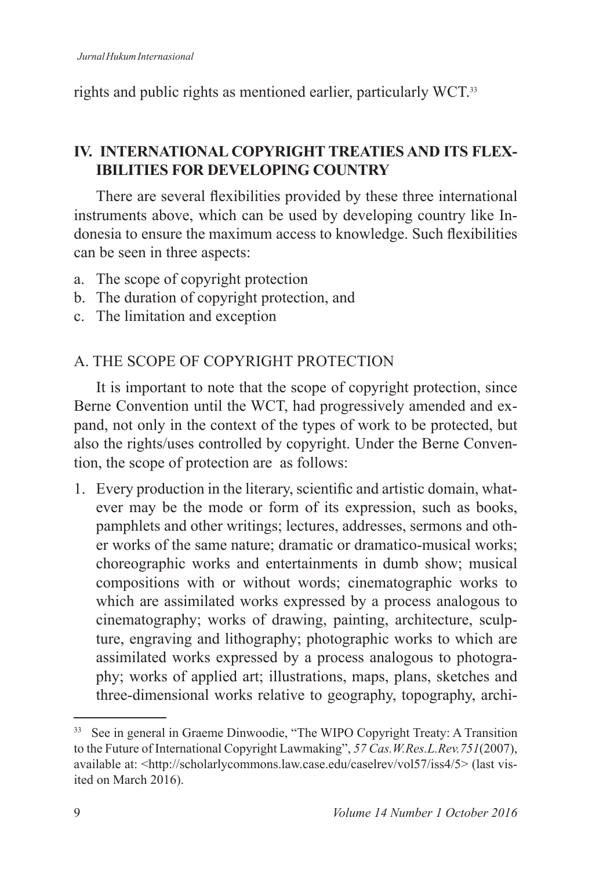rights and public rights as mentioned earlier, particularly WCT.<sup>33</sup>

## **IV. INTERNATIONAL COPYRIGHT TREATIES AND ITS FLEX-IBILITIES FOR DEVELOPING COUNTRY**

There are several flexibilities provided by these three international instruments above, which can be used by developing country like Indonesia to ensure the maximum access to knowledge. Such flexibilities can be seen in three aspects:

- a. The scope of copyright protection
- b. The duration of copyright protection, and
- c. The limitation and exception

## A. THE SCOPE OF COPYRIGHT PROTECTION

It is important to note that the scope of copyright protection, since Berne Convention until the WCT, had progressively amended and expand, not only in the context of the types of work to be protected, but also the rights/uses controlled by copyright. Under the Berne Convention, the scope of protection are as follows:

1. Every production in the literary, scientific and artistic domain, whatever may be the mode or form of its expression, such as books, pamphlets and other writings; lectures, addresses, sermons and other works of the same nature; dramatic or dramatico-musical works; choreographic works and entertainments in dumb show; musical compositions with or without words; cinematographic works to which are assimilated works expressed by a process analogous to cinematography; works of drawing, painting, architecture, sculpture, engraving and lithography; photographic works to which are assimilated works expressed by a process analogous to photography; works of applied art; illustrations, maps, plans, sketches and three-dimensional works relative to geography, topography, archi-

<sup>&</sup>lt;sup>33</sup> See in general in Graeme Dinwoodie, "The WIPO Copyright Treaty: A Transition to the Future of International Copyright Lawmaking", *57 Cas.W.Res.L.Rev.751* available at: <http://scholarlycommons.law.case.edu/caselrev/vol57/iss4/5> (last visited on March 2016).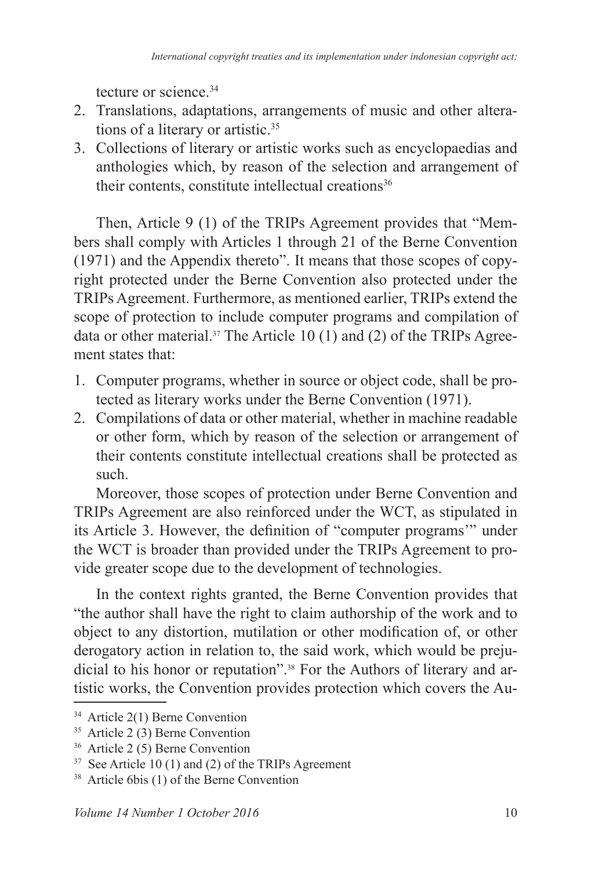tecture or science.<sup>34</sup>

- 2. Translations, adaptations, arrangements of music and other alterations of a literary or artistic.<sup>35</sup>
- 3. Collections of literary or artistic works such as encyclopaedias and anthologies which, by reason of the selection and arrangement of their contents, constitute intellectual creations<sup>36</sup>

Then, Article 9 (1) of the TRIPs Agreement provides that "Members shall comply with Articles 1 through 21 of the Berne Convention (1971) and the Appendix thereto". It means that those scopes of copyright protected under the Berne Convention also protected under the TRIPs Agreement. Furthermore, as mentioned earlier, TRIPs extend the scope of protection to include computer programs and compilation of data or other material.<sup>37</sup> The Article 10 (1) and (2) of the TRIPs Agreement states that:

- 1. Computer programs, whether in source or object code, shall be protected as literary works under the Berne Convention (1971).
- 2. Compilations of data or other material, whether in machine readable or other form, which by reason of the selection or arrangement of their contents constitute intellectual creations shall be protected as such.

Moreover, those scopes of protection under Berne Convention and TRIPs Agreement are also reinforced under the WCT, as stipulated in its Article 3. However, the definition of "computer programs" under the WCT is broader than provided under the TRIPs Agreement to provide greater scope due to the development of technologies.

In the context rights granted, the Berne Convention provides that "the author shall have the right to claim authorship of the work and to object to any distortion, mutilation or other modification of, or other derogatory action in relation to, the said work, which would be prejudicial to his honor or reputation".<sup>38</sup> For the Authors of literary and artistic works, the Convention provides protection which covers the Au-

 $34$  Article 2(1) Berne Convention

 $35$  Article 2(3) Berne Convention

 $36$  Article 2 (5) Berne Convention

 $37$  See Article 10 (1) and (2) of the TRIPs Agreement

<sup>&</sup>lt;sup>38</sup> Article 6bis (1) of the Berne Convention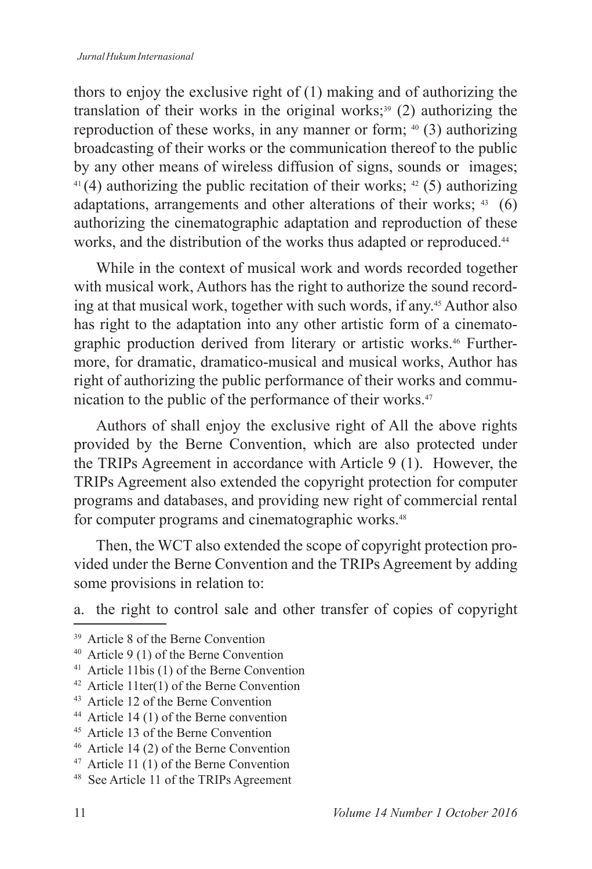thors to enjoy the exclusive right of (1) making and of authorizing the translation of their works in the original works;<sup>39</sup> (2) authorizing the reproduction of these works, in any manner or form;  $40$  (3) authorizing broadcasting of their works or the communication thereof to the public by any other means of wireless diffusion of signs, sounds or images; <sup>41</sup>(4) authorizing the public recitation of their works; <sup>42</sup>(5) authorizing adaptations, arrangements and other alterations of their works; 43 (6) authorizing the cinematographic adaptation and reproduction of these works, and the distribution of the works thus adapted or reproduced.<sup>44</sup>

While in the context of musical work and words recorded together with musical work, Authors has the right to authorize the sound recording at that musical work, together with such words, if any.<sup>45</sup> Author also has right to the adaptation into any other artistic form of a cinematographic production derived from literary or artistic works.46 Furthermore, for dramatic, dramatico-musical and musical works, Author has right of authorizing the public performance of their works and communication to the public of the performance of their works.<sup>47</sup>

Authors of shall enjoy the exclusive right of All the above rights provided by the Berne Convention, which are also protected under the TRIPs Agreement in accordance with Article 9 (1). However, the TRIPs Agreement also extended the copyright protection for computer programs and databases, and providing new right of commercial rental for computer programs and cinematographic works.

Then, the WCT also extended the scope of copyright protection provided under the Berne Convention and the TRIPs Agreement by adding some provisions in relation to:

a. the right to control sale and other transfer of copies of copyright

<sup>&</sup>lt;sup>39</sup> Article 8 of the Berne Convention

<sup>40</sup> Article 9 (1) of the Berne Convention

<sup>41</sup> Article 11bis (1) of the Berne Convention

 $42$  Article 11ter(1) of the Berne Convention

<sup>&</sup>lt;sup>43</sup> Article 12 of the Berne Convention

<sup>44</sup> Article 14 (1) of the Berne convention

<sup>&</sup>lt;sup>45</sup> Article 13 of the Berne Convention

 $46$  Article 14 (2) of the Berne Convention

<sup>47</sup> Article 11 (1) of the Berne Convention

<sup>&</sup>lt;sup>48</sup> See Article 11 of the TRIPs Agreement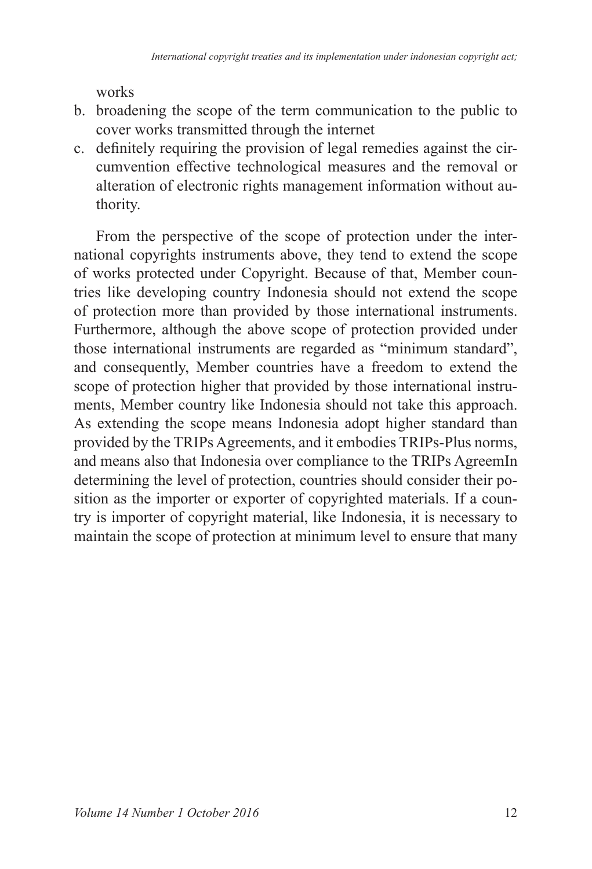works

- b. broadening the scope of the term communication to the public to cover works transmitted through the internet
- c. definitely requiring the provision of legal remedies against the circumvention effective technological measures and the removal or alteration of electronic rights management information without authority.

From the perspective of the scope of protection under the international copyrights instruments above, they tend to extend the scope of works protected under Copyright. Because of that, Member countries like developing country Indonesia should not extend the scope of protection more than provided by those international instruments. Furthermore, although the above scope of protection provided under those international instruments are regarded as "minimum standard", and consequently, Member countries have a freedom to extend the scope of protection higher that provided by those international instruments, Member country like Indonesia should not take this approach. As extending the scope means Indonesia adopt higher standard than provided by the TRIPs Agreements, and it embodies TRIPs-Plus norms, and means also that Indonesia over compliance to the TRIPs AgreemIn determining the level of protection, countries should consider their position as the importer or exporter of copyrighted materials. If a country is importer of copyright material, like Indonesia, it is necessary to maintain the scope of protection at minimum level to ensure that many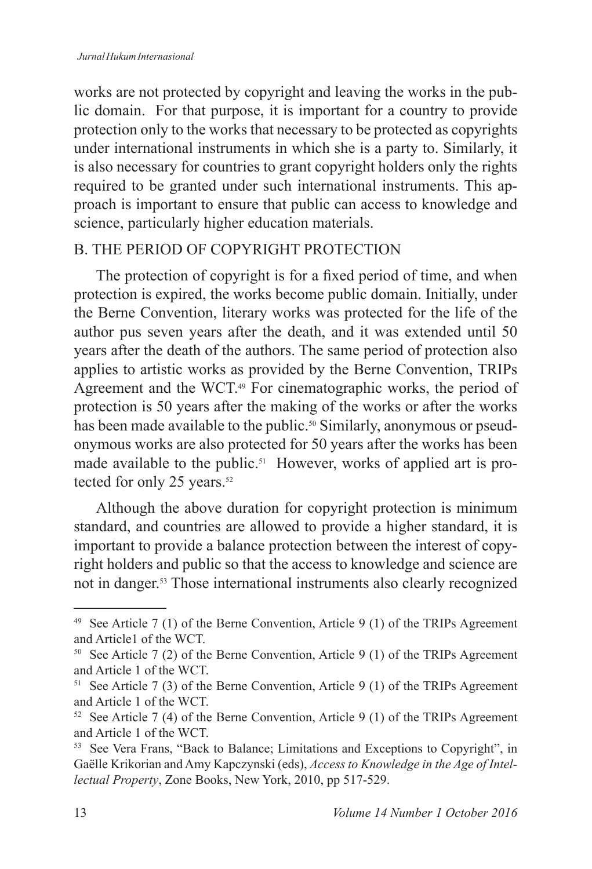works are not protected by copyright and leaving the works in the public domain. For that purpose, it is important for a country to provide protection only to the works that necessary to be protected as copyrights under international instruments in which she is a party to. Similarly, it is also necessary for countries to grant copyright holders only the rights required to be granted under such international instruments. This approach is important to ensure that public can access to knowledge and science, particularly higher education materials.

## B. THE PERIOD OF COPYRIGHT PROTECTION

The protection of copyright is for a fixed period of time, and when protection is expired, the works become public domain. Initially, under the Berne Convention, literary works was protected for the life of the author pus seven years after the death, and it was extended until 50 years after the death of the authors. The same period of protection also applies to artistic works as provided by the Berne Convention, TRIPs Agreement and the WCT.49 For cinematographic works, the period of protection is 50 years after the making of the works or after the works has been made available to the public.<sup>50</sup> Similarly, anonymous or pseudonymous works are also protected for 50 years after the works has been made available to the public.<sup>51</sup> However, works of applied art is protected for only 25 years. $52$ 

Although the above duration for copyright protection is minimum standard, and countries are allowed to provide a higher standard, it is important to provide a balance protection between the interest of copyright holders and public so that the access to knowledge and science are not in danger.<sup>53</sup> Those international instruments also clearly recognized

<sup>&</sup>lt;sup>49</sup> See Article 7 (1) of the Berne Convention, Article 9 (1) of the TRIPs Agreement and Article1 of the WCT.

<sup>&</sup>lt;sup>50</sup> See Article 7 (2) of the Berne Convention, Article 9 (1) of the TRIPs Agreement and Article 1 of the WCT.

<sup>&</sup>lt;sup>51</sup> See Article 7 (3) of the Berne Convention, Article 9 (1) of the TRIPs Agreement and Article 1 of the WCT.

<sup>&</sup>lt;sup>52</sup> See Article 7 (4) of the Berne Convention, Article 9 (1) of the TRIPs Agreement and Article 1 of the WCT.

<sup>&</sup>lt;sup>53</sup> See Vera Frans, "Back to Balance; Limitations and Exceptions to Copyright", in Gaëlle Krikorian and Amy Kapczynski (eds), *Access to Knowledge in the Age of Intellectual Property*, Zone Books, New York, 2010, pp 517-529.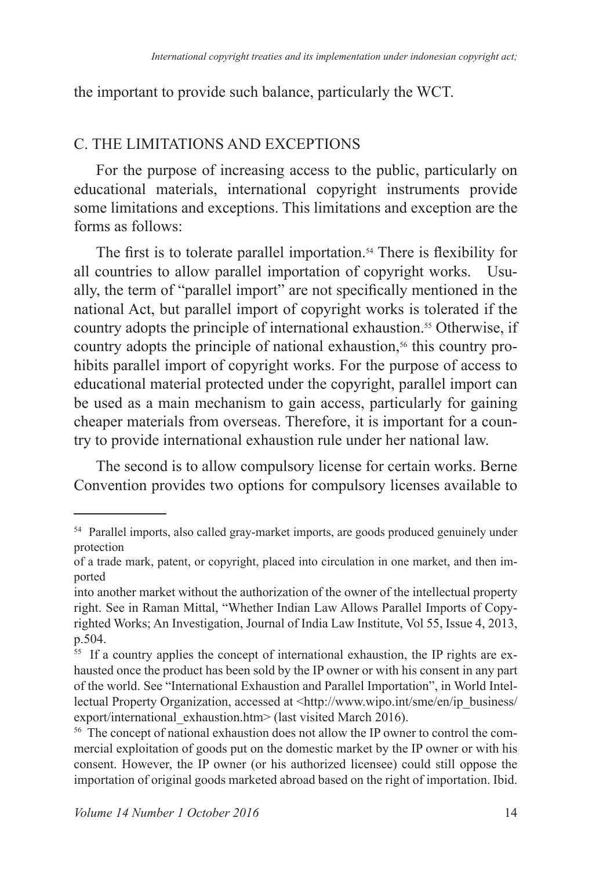the important to provide such balance, particularly the WCT.

### C. THE LIMITATIONS AND EXCEPTIONS

For the purpose of increasing access to the public, particularly on educational materials, international copyright instruments provide some limitations and exceptions. This limitations and exception are the forms as follows:

The first is to tolerate parallel importation.<sup>54</sup> There is flexibility for all countries to allow parallel importation of copyright works. Usually, the term of "parallel import" are not specifically mentioned in the national Act, but parallel import of copyright works is tolerated if the country adopts the principle of international exhaustion.<sup>55</sup> Otherwise, if country adopts the principle of national exhaustion, $56$  this country prohibits parallel import of copyright works. For the purpose of access to educational material protected under the copyright, parallel import can be used as a main mechanism to gain access, particularly for gaining cheaper materials from overseas. Therefore, it is important for a country to provide international exhaustion rule under her national law.

The second is to allow compulsory license for certain works. Berne Convention provides two options for compulsory licenses available to

<sup>&</sup>lt;sup>54</sup> Parallel imports, also called gray-market imports, are goods produced genuinely under protection

of a trade mark, patent, or copyright, placed into circulation in one market, and then imported

into another market without the authorization of the owner of the intellectual property right. See in Raman Mittal, "Whether Indian Law Allows Parallel Imports of Copyrighted Works; An Investigation, Journal of India Law Institute, Vol 55, Issue 4, 2013, p.504.

<sup>&</sup>lt;sup>55</sup> If a country applies the concept of international exhaustion, the IP rights are exhausted once the product has been sold by the IP owner or with his consent in any part of the world. See "International Exhaustion and Parallel Importation", in World Intellectual Property Organization, accessed at <http://www.wipo.int/sme/en/ip\_business/ export/international exhaustion.htm> (last visited March 2016).

<sup>&</sup>lt;sup>56</sup> The concept of national exhaustion does not allow the IP owner to control the commercial exploitation of goods put on the domestic market by the IP owner or with his consent. However, the IP owner (or his authorized licensee) could still oppose the importation of original goods marketed abroad based on the right of importation. Ibid.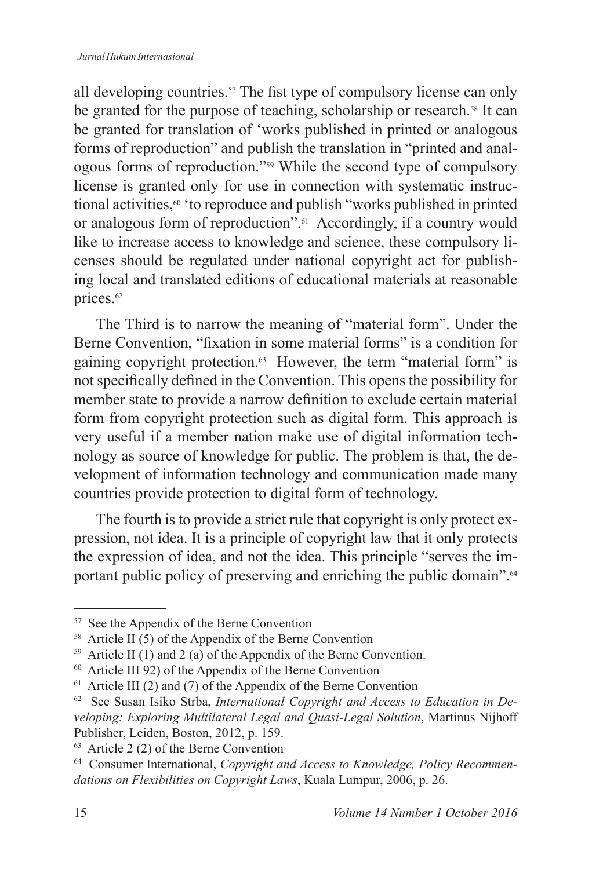all developing countries.<sup>57</sup> The fist type of compulsory license can only be granted for the purpose of teaching, scholarship or research.<sup>58</sup> It can be granted for translation of 'works published in printed or analogous forms of reproduction" and publish the translation in "printed and analogous forms of reproduction."<sup>59</sup> While the second type of compulsory license is granted only for use in connection with systematic instructional activities,<sup>60</sup> 'to reproduce and publish "works published in printed or analogous form of reproduction".61 Accordingly, if a country would like to increase access to knowledge and science, these compulsory licenses should be regulated under national copyright act for publishing local and translated editions of educational materials at reasonable prices.<sup>62</sup>

The Third is to narrow the meaning of "material form". Under the Berne Convention, "fixation in some material forms" is a condition for gaining copyright protection.<sup>63</sup> However, the term "material form" is not specifically defined in the Convention. This opens the possibility for member state to provide a narrow definition to exclude certain material form from copyright protection such as digital form. This approach is very useful if a member nation make use of digital information technology as source of knowledge for public. The problem is that, the development of information technology and communication made many countries provide protection to digital form of technology.

The fourth is to provide a strict rule that copyright is only protect expression, not idea. It is a principle of copyright law that it only protects the expression of idea, and not the idea. This principle "serves the important public policy of preserving and enriching the public domain".<sup>64</sup>

<sup>&</sup>lt;sup>57</sup> See the Appendix of the Berne Convention

<sup>&</sup>lt;sup>58</sup> Article II  $(5)$  of the Appendix of the Berne Convention

<sup>&</sup>lt;sup>59</sup> Article II (1) and 2 (a) of the Appendix of the Berne Convention.

 $60$  Article III 92) of the Appendix of the Berne Convention

 $61$  Article III (2) and (7) of the Appendix of the Berne Convention

<sup>&</sup>lt;sup>62</sup> See Susan Isiko Strba, *International Copyright and Access to Education in Developing: Exploring Multilateral Legal and Quasi-Legal Solution*, Martinus Nijhoff Publisher, Leiden, Boston, 2012, p. 159.

 $63$  Article 2 (2) of the Berne Convention

<sup>64</sup> Consumer International, *Copyright and Access to Knowledge, Policy Recommendations on Flexibilities on Copyright Laws*, Kuala Lumpur, 2006, p. 26.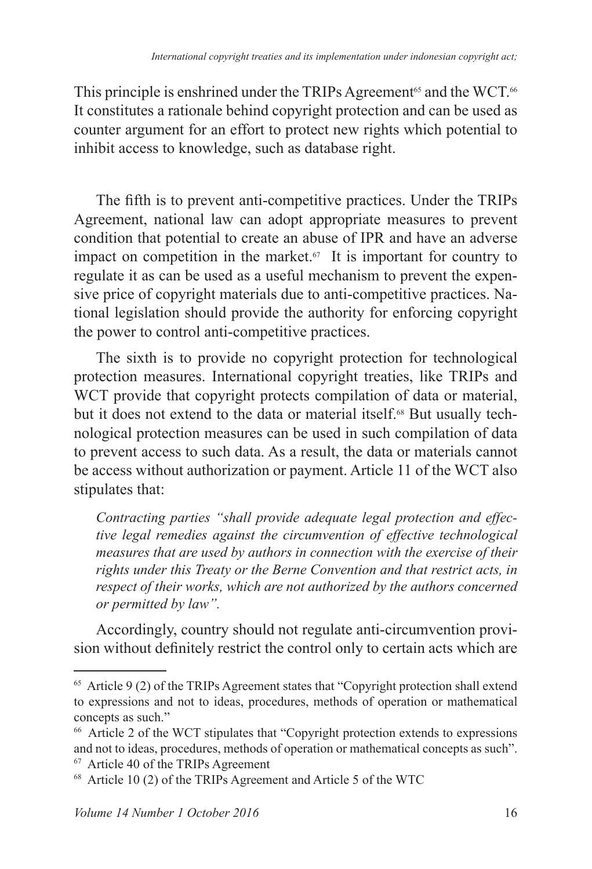This principle is enshrined under the TRIPs Agreement<sup>65</sup> and the WCT.<sup>66</sup> It constitutes a rationale behind copyright protection and can be used as counter argument for an effort to protect new rights which potential to inhibit access to knowledge, such as database right.

The fifth is to prevent anti-competitive practices. Under the TRIPs Agreement, national law can adopt appropriate measures to prevent condition that potential to create an abuse of IPR and have an adverse impact on competition in the market. $67$  It is important for country to regulate it as can be used as a useful mechanism to prevent the expensive price of copyright materials due to anti-competitive practices. National legislation should provide the authority for enforcing copyright the power to control anti-competitive practices.

The sixth is to provide no copyright protection for technological protection measures. International copyright treaties, like TRIPs and WCT provide that copyright protects compilation of data or material, but it does not extend to the data or material itself.<sup>68</sup> But usually technological protection measures can be used in such compilation of data to prevent access to such data. As a result, the data or materials cannot be access without authorization or payment. Article 11 of the WCT also stipulates that:

*Contracting parties "shall provide adequate legal protection and effective legal remedies against the circumvention of effective technological measures that are used by authors in connection with the exercise of their rights under this Treaty or the Berne Convention and that restrict acts, in respect of their works, which are not authorized by the authors concerned or permitted by law".*

Accordingly, country should not regulate anti-circumvention provision without definitely restrict the control only to certain acts which are

 $65$  Article 9 (2) of the TRIPs Agreement states that "Copyright protection shall extend to expressions and not to ideas, procedures, methods of operation or mathematical concepts as such."

<sup>&</sup>lt;sup>66</sup> Article 2 of the WCT stipulates that "Copyright protection extends to expressions and not to ideas, procedures, methods of operation or mathematical concepts as such".

<sup>67</sup> Article 40 of the TRIPs Agreement

 $68$  Article 10 (2) of the TRIPs Agreement and Article 5 of the WTC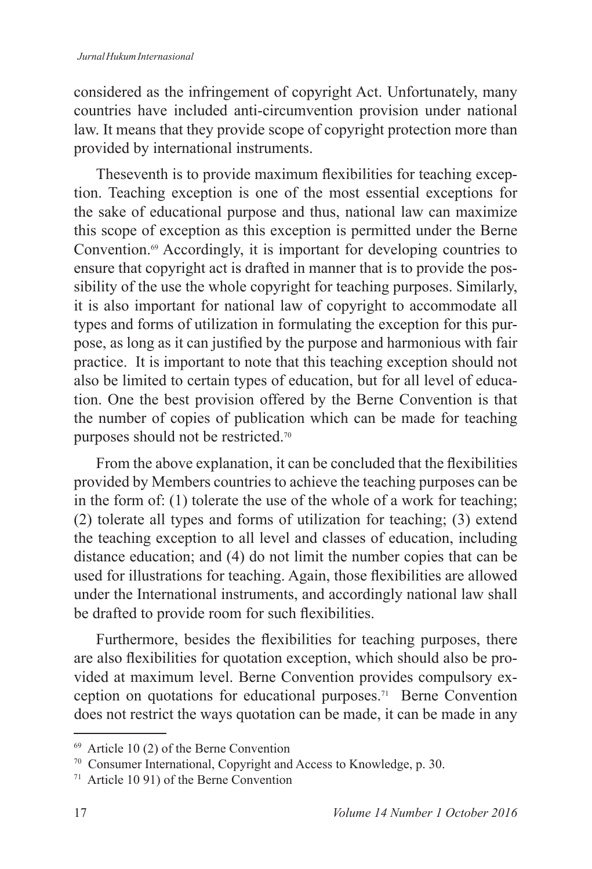considered as the infringement of copyright Act. Unfortunately, many countries have included anti-circumvention provision under national law. It means that they provide scope of copyright protection more than provided by international instruments.

Theseventh is to provide maximum flexibilities for teaching exception. Teaching exception is one of the most essential exceptions for the sake of educational purpose and thus, national law can maximize this scope of exception as this exception is permitted under the Berne Convention.69 Accordingly, it is important for developing countries to ensure that copyright act is drafted in manner that is to provide the possibility of the use the whole copyright for teaching purposes. Similarly, it is also important for national law of copyright to accommodate all types and forms of utilization in formulating the exception for this purpose, as long as it can justified by the purpose and harmonious with fair practice. It is important to note that this teaching exception should not also be limited to certain types of education, but for all level of education. One the best provision offered by the Berne Convention is that the number of copies of publication which can be made for teaching purposes should not be restricted.<sup>70</sup>

From the above explanation, it can be concluded that the flexibilities provided by Members countries to achieve the teaching purposes can be in the form of: (1) tolerate the use of the whole of a work for teaching; (2) tolerate all types and forms of utilization for teaching;  $(3)$  extend the teaching exception to all level and classes of education, including distance education; and (4) do not limit the number copies that can be used for illustrations for teaching. Again, those flexibilities are allowed under the International instruments, and accordingly national law shall be drafted to provide room for such flexibilities.

Furthermore, besides the flexibilities for teaching purposes, there are also flexibilities for quotation exception, which should also be provided at maximum level. Berne Convention provides compulsory exception on quotations for educational purposes.71 Berne Convention does not restrict the ways quotation can be made, it can be made in any

 $69$  Article 10 (2) of the Berne Convention

<sup>70</sup> Consumer International, Copyright and Access to Knowledge, p. 30.

<sup>71</sup> Article 10 91) of the Berne Convention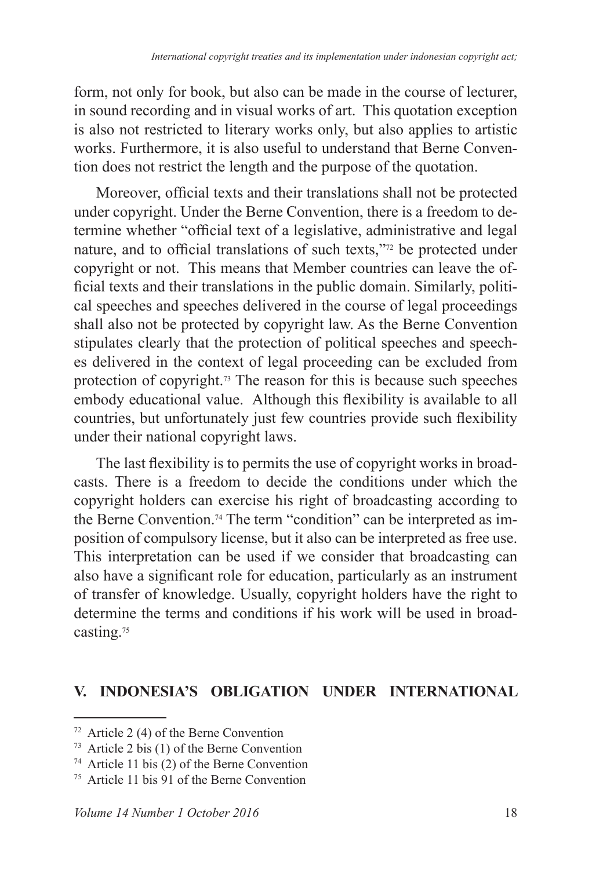form, not only for book, but also can be made in the course of lecturer, in sound recording and in visual works of art. This quotation exception is also not restricted to literary works only, but also applies to artistic works. Furthermore, it is also useful to understand that Berne Convention does not restrict the length and the purpose of the quotation.

Moreover, official texts and their translations shall not be protected under copyright. Under the Berne Convention, there is a freedom to determine whether "official text of a legislative, administrative and legal nature, and to official translations of such texts,"<sup>72</sup> be protected under copyright or not. This means that Member countries can leave the official texts and their translations in the public domain. Similarly, political speeches and speeches delivered in the course of legal proceedings shall also not be protected by copyright law. As the Berne Convention stipulates clearly that the protection of political speeches and speeches delivered in the context of legal proceeding can be excluded from protection of copyright.73 The reason for this is because such speeches embody educational value. Although this flexibility is available to all countries, but unfortunately just few countries provide such flexibility under their national copyright laws.

The last flexibility is to permits the use of copyright works in broadcasts. There is a freedom to decide the conditions under which the copyright holders can exercise his right of broadcasting according to the Berne Convention.74 The term "condition" can be interpreted as imposition of compulsory license, but it also can be interpreted as free use. This interpretation can be used if we consider that broadcasting can also have a significant role for education, particularly as an instrument of transfer of knowledge. Usually, copyright holders have the right to determine the terms and conditions if his work will be used in broadcasting.<sup>75</sup>

#### **V. INDONESIA'S OBLIGATION UNDER INTERNATIONAL**

 $\frac{72}{12}$  Article 2 (4) of the Berne Convention

<sup>&</sup>lt;sup>73</sup> Article 2 bis (1) of the Berne Convention

<sup>&</sup>lt;sup>74</sup> Article 11 bis (2) of the Berne Convention

Article 11 bis 91 of the Berne Convention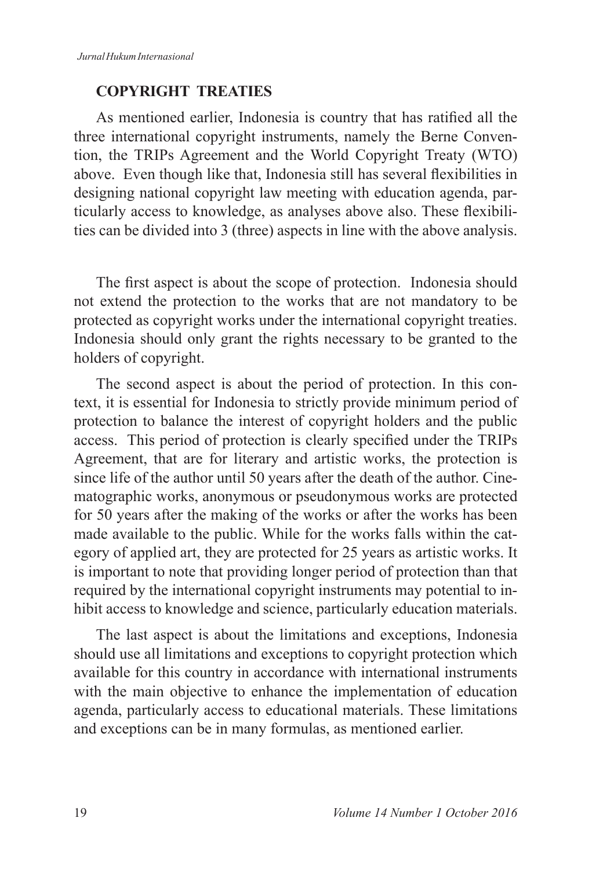### **COPYRIGHT TREATIES**

As mentioned earlier, Indonesia is country that has ratified all the three international copyright instruments, namely the Berne Convention, the TRIPs Agreement and the World Copyright Treaty (WTO) above. Even though like that, Indonesia still has several flexibilities in designing national copyright law meeting with education agenda, particularly access to knowledge, as analyses above also. These flexibilities can be divided into 3 (three) aspects in line with the above analysis.

The first aspect is about the scope of protection. Indonesia should not extend the protection to the works that are not mandatory to be protected as copyright works under the international copyright treaties. Indonesia should only grant the rights necessary to be granted to the holders of copyright.

The second aspect is about the period of protection. In this context, it is essential for Indonesia to strictly provide minimum period of protection to balance the interest of copyright holders and the public access. This period of protection is clearly specified under the TRIPs Agreement, that are for literary and artistic works, the protection is since life of the author until 50 years after the death of the author. Cinematographic works, anonymous or pseudonymous works are protected for 50 years after the making of the works or after the works has been made available to the public. While for the works falls within the category of applied art, they are protected for 25 years as artistic works. It is important to note that providing longer period of protection than that required by the international copyright instruments may potential to inhibit access to knowledge and science, particularly education materials.

The last aspect is about the limitations and exceptions, Indonesia should use all limitations and exceptions to copyright protection which available for this country in accordance with international instruments with the main objective to enhance the implementation of education agenda, particularly access to educational materials. These limitations and exceptions can be in many formulas, as mentioned earlier.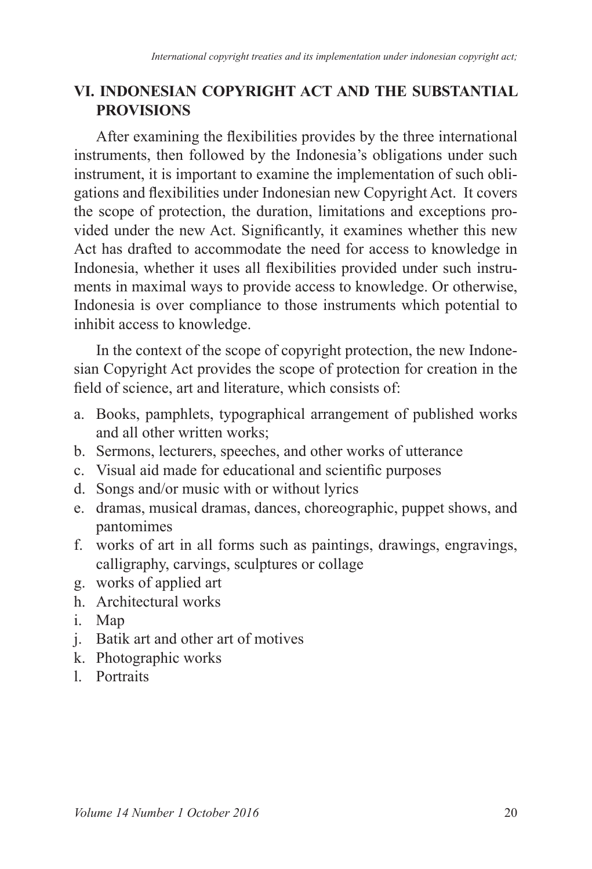## **VI. INDONESIAN COPYRIGHT ACT AND THE SUBSTANTIAL PROVISIONS**

After examining the flexibilities provides by the three international instruments, then followed by the Indonesia's obligations under such instrument, it is important to examine the implementation of such obligations and flexibilities under Indonesian new Copyright Act. It covers the scope of protection, the duration, limitations and exceptions provided under the new Act. Significantly, it examines whether this new Act has drafted to accommodate the need for access to knowledge in Indonesia, whether it uses all flexibilities provided under such instruments in maximal ways to provide access to knowledge. Or otherwise, Indonesia is over compliance to those instruments which potential to inhibit access to knowledge.

In the context of the scope of copyright protection, the new Indonesian Copyright Act provides the scope of protection for creation in the field of science, art and literature, which consists of:

- a. Books, pamphlets, typographical arrangement of published works and all other written works;
- b. Sermons, lecturers, speeches, and other works of utterance
- c. Visual aid made for educational and scientific purposes
- d. Songs and/or music with or without lyrics
- e. dramas, musical dramas, dances, choreographic, puppet shows, and pantomimes
- f. works of art in all forms such as paintings, drawings, engravings, calligraphy, carvings, sculptures or collage
- g. works of applied art
- h. Architectural works
- i. Map
- j. Batik art and other art of motives
- k. Photographic works
- l. Portraits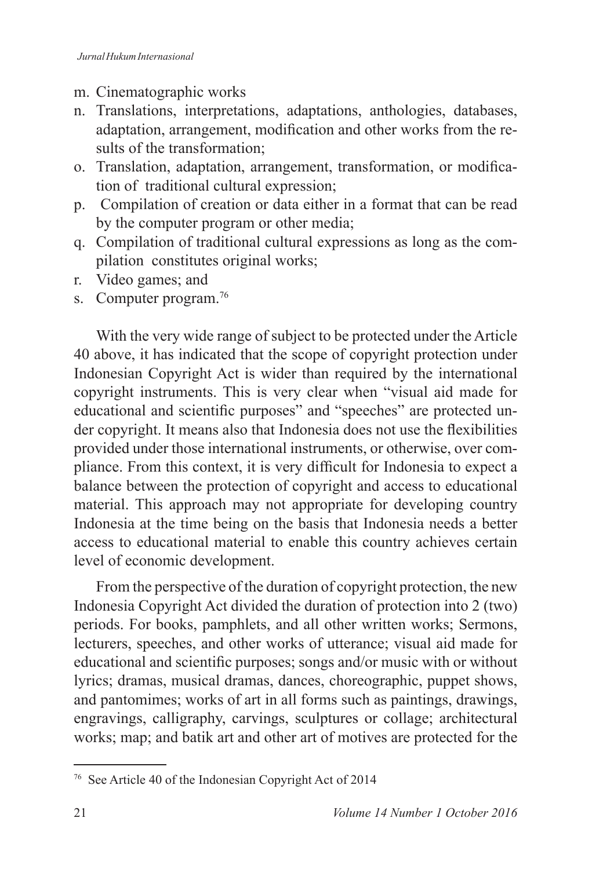### m. Cinematographic works

- n. Translations, interpretations, adaptations, anthologies, databases, adaptation, arrangement, modification and other works from the results of the transformation;
- o. Translation, adaptation, arrangement, transformation, or modification of traditional cultural expression;
- p. Compilation of creation or data either in a format that can be read by the computer program or other media;
- q. Compilation of traditional cultural expressions as long as the compilation constitutes original works;
- r. Video games; and
- s. Computer program.<sup>76</sup>

With the very wide range of subject to be protected under the Article 40 above, it has indicated that the scope of copyright protection under Indonesian Copyright Act is wider than required by the international copyright instruments. This is very clear when "visual aid made for educational and scientific purposes" and "speeches" are protected under copyright. It means also that Indonesia does not use the flexibilities provided under those international instruments, or otherwise, over compliance. From this context, it is very difficult for Indonesia to expect a balance between the protection of copyright and access to educational material. This approach may not appropriate for developing country Indonesia at the time being on the basis that Indonesia needs a better access to educational material to enable this country achieves certain level of economic development.

From the perspective of the duration of copyright protection, the new Indonesia Copyright Act divided the duration of protection into  $2 \text{ (two)}$ periods. For books, pamphlets, and all other written works; Sermons, lecturers, speeches, and other works of utterance; visual aid made for educational and scientific purposes; songs and/or music with or without lyrics; dramas, musical dramas, dances, choreographic, puppet shows, and pantomimes; works of art in all forms such as paintings, drawings, engravings, calligraphy, carvings, sculptures or collage; architectural works; map; and batik art and other art of motives are protected for the

<sup>&</sup>lt;sup>76</sup> See Article 40 of the Indonesian Copyright Act of 2014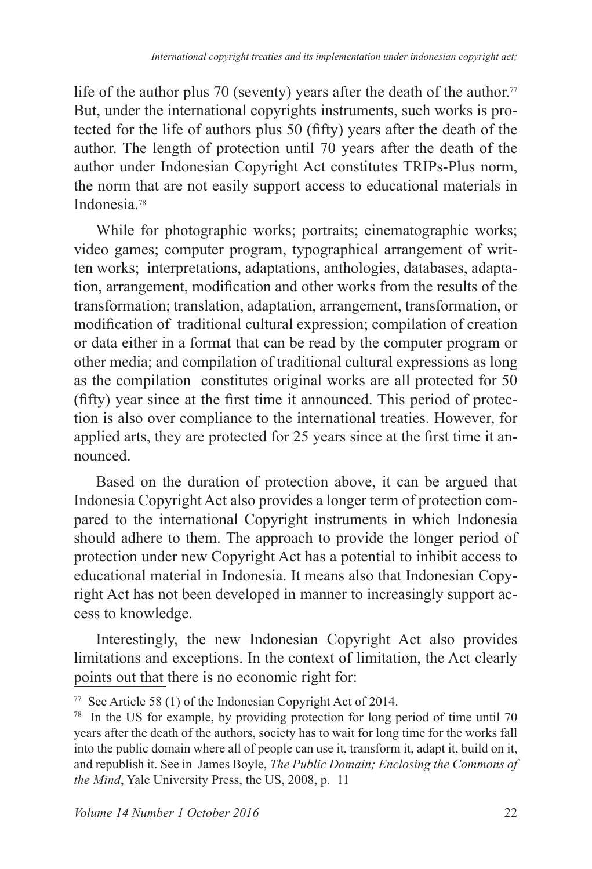life of the author plus 70 (seventy) years after the death of the author.<sup>77</sup> But, under the international copyrights instruments, such works is protected for the life of authors plus 50 (fifty) years after the death of the author. The length of protection until 70 years after the death of the author under Indonesian Copyright Act constitutes TRIPs-Plus norm, the norm that are not easily support access to educational materials in Indonesia<sup>78</sup>

While for photographic works; portraits; cinematographic works; video games; computer program, typographical arrangement of written works; interpretations, adaptations, anthologies, databases, adaptation, arrangement, modification and other works from the results of the transformation; translation, adaptation, arrangement, transformation, or modification of traditional cultural expression; compilation of creation or data either in a format that can be read by the computer program or other media; and compilation of traditional cultural expressions as long as the compilation constitutes original works are all protected for  $50$  $(\text{fifty})$  year since at the first time it announced. This period of protection is also over compliance to the international treaties. However, for applied arts, they are protected for 25 years since at the first time it announced.

Based on the duration of protection above, it can be argued that Indonesia Copyright Act also provides a longer term of protection compared to the international Copyright instruments in which Indonesia should adhere to them. The approach to provide the longer period of protection under new Copyright Act has a potential to inhibit access to educational material in Indonesia. It means also that Indonesian Copyright Act has not been developed in manner to increasingly support access to knowledge.

Interestingly, the new Indonesian Copyright Act also provides limitations and exceptions. In the context of limitation, the Act clearly points out that there is no economic right for:

<sup>&</sup>lt;sup>77</sup> See Article 58 (1) of the Indonesian Copyright Act of 2014.

 $178$  In the US for example, by providing protection for long period of time until 70 years after the death of the authors, society has to wait for long time for the works fall into the public domain where all of people can use it, transform it, adapt it, build on it, and republish it. See in James Boyle, *The Public Domain; Enclosing the Commons of the Mind*, Yale University Press, the US, 2008, p. 11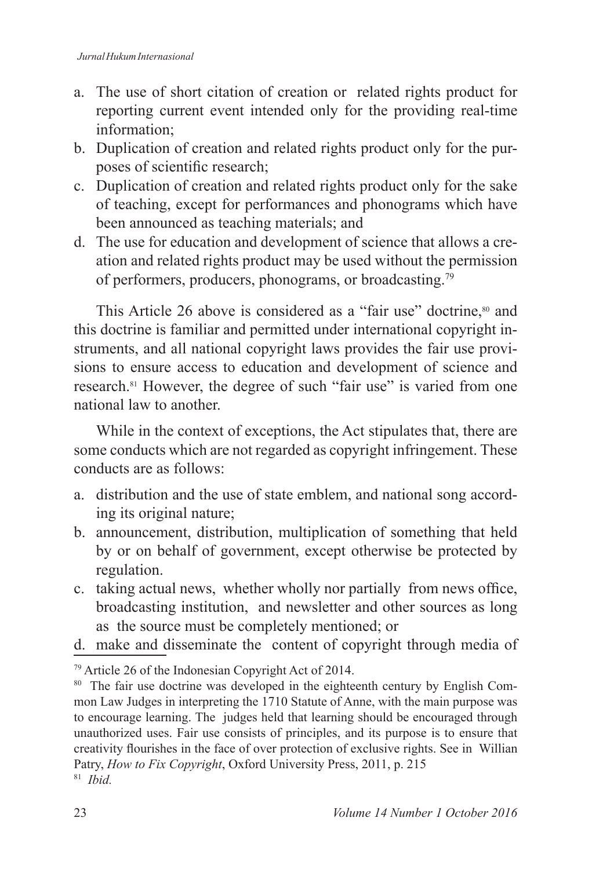- a. The use of short citation of creation or related rights product for reporting current event intended only for the providing real-time information;
- b. Duplication of creation and related rights product only for the purposes of scientific research;
- c. Duplication of creation and related rights product only for the sake of teaching, except for performances and phonograms which have been announced as teaching materials; and
- d. The use for education and development of science that allows a creation and related rights product may be used without the permission of performers, producers, phonograms, or broadcasting.<sup>79</sup>

This Article 26 above is considered as a "fair use" doctrine,<sup>80</sup> and this doctrine is familiar and permitted under international copyright instruments, and all national copyright laws provides the fair use provisions to ensure access to education and development of science and research.<sup>81</sup> However, the degree of such "fair use" is varied from one national law to another.

While in the context of exceptions, the Act stipulates that, there are some conducts which are not regarded as copyright infringement. These conducts are as follows:

- a. distribution and the use of state emblem, and national song according its original nature;
- b. announcement, distribution, multiplication of something that held by or on behalf of government, except otherwise be protected by regulation.
- c. taking actual news, whether wholly nor partially from news office, broadcasting institution, and newsletter and other sources as long as the source must be completely mentioned; or
- d. make and disseminate the content of copyright through media of

 $79$  Article 26 of the Indonesian Copyright Act of 2014.

<sup>&</sup>lt;sup>80</sup> The fair use doctrine was developed in the eighteenth century by English Common Law Judges in interpreting the 1710 Statute of Anne, with the main purpose was to encourage learning. The judges held that learning should be encouraged through unauthorized uses. Fair use consists of principles, and its purpose is to ensure that creativity flourishes in the face of over protection of exclusive rights. See in Willian Patry, *How to Fix Copyright*, Oxford University Press, 2011, p. 215 *Ibid.*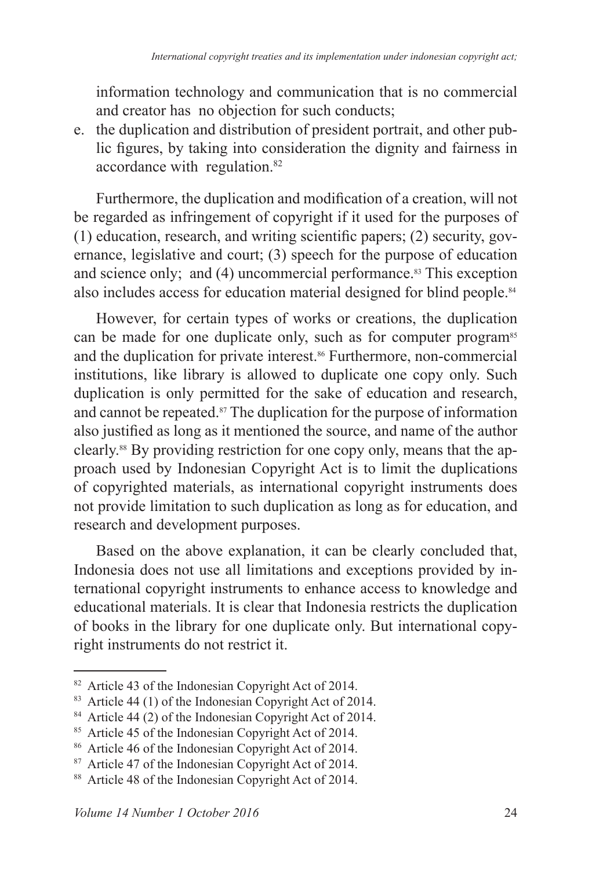information technology and communication that is no commercial and creator has no objection for such conducts;

e. the duplication and distribution of president portrait, and other public figures, by taking into consideration the dignity and fairness in accordance with regulation.

Furthermore, the duplication and modification of a creation, will not be regarded as infringement of copyright if it used for the purposes of  $(1)$  education, research, and writing scientific papers;  $(2)$  security, governance, legislative and court; (3) speech for the purpose of education and science only; and  $(4)$  uncommercial performance.<sup>83</sup> This exception also includes access for education material designed for blind people.

However, for certain types of works or creations, the duplication can be made for one duplicate only, such as for computer program<sup>85</sup> and the duplication for private interest.<sup>86</sup> Furthermore, non-commercial institutions, like library is allowed to duplicate one copy only. Such duplication is only permitted for the sake of education and research, and cannot be repeated. $\frac{87}{7}$  The duplication for the purpose of information also justified as long as it mentioned the source, and name of the author clearly. By providing restriction for one copy only, means that the approach used by Indonesian Copyright Act is to limit the duplications of copyrighted materials, as international copyright instruments does not provide limitation to such duplication as long as for education, and research and development purposes.

Based on the above explanation, it can be clearly concluded that, Indonesia does not use all limitations and exceptions provided by international copyright instruments to enhance access to knowledge and educational materials. It is clear that Indonesia restricts the duplication of books in the library for one duplicate only. But international copyright instruments do not restrict it.

<sup>&</sup>lt;sup>82</sup> Article 43 of the Indonesian Copyright Act of 2014.

 $83$  Article 44 (1) of the Indonesian Copyright Act of 2014.

 $84$  Article 44 (2) of the Indonesian Copyright Act of 2014.

<sup>&</sup>lt;sup>85</sup> Article 45 of the Indonesian Copyright Act of 2014.

<sup>&</sup>lt;sup>86</sup> Article 46 of the Indonesian Copyright Act of 2014.

<sup>&</sup>lt;sup>87</sup> Article 47 of the Indonesian Copyright Act of 2014.

<sup>&</sup>lt;sup>88</sup> Article 48 of the Indonesian Copyright Act of 2014.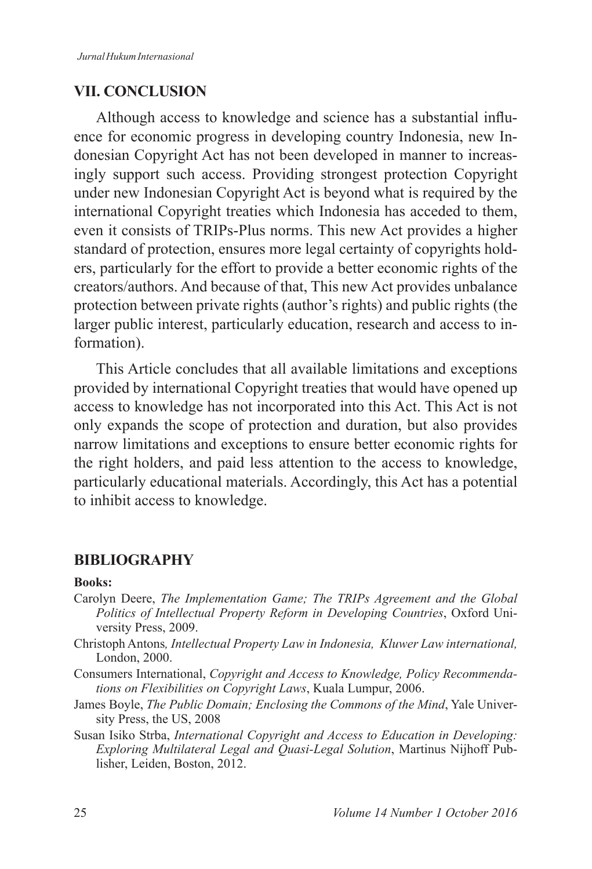### **VII. CONCLUSION**

Although access to knowledge and science has a substantial influence for economic progress in developing country Indonesia, new Indonesian Copyright Act has not been developed in manner to increasingly support such access. Providing strongest protection Copyright under new Indonesian Copyright Act is beyond what is required by the international Copyright treaties which Indonesia has acceded to them, even it consists of TRIPs-Plus norms. This new Act provides a higher standard of protection, ensures more legal certainty of copyrights holders, particularly for the effort to provide a better economic rights of the creators/authors. And because of that, This new Act provides unbalance protection between private rights (author's rights) and public rights (the larger public interest, particularly education, research and access to information).

This Article concludes that all available limitations and exceptions provided by international Copyright treaties that would have opened up access to knowledge has not incorporated into this Act. This Act is not only expands the scope of protection and duration, but also provides narrow limitations and exceptions to ensure better economic rights for the right holders, and paid less attention to the access to knowledge, particularly educational materials. Accordingly, this Act has a potential to inhibit access to knowledge.

#### **BIBLIOGRAPHY**

#### **Books:**

- Carolyn Deere, *The Implementation Game; The TRIPs Agreement and the Global Politics of Intellectual Property Reform in Developing Countries*, Oxford University Press, 2009.
- Christoph Antons*, Intellectual Property Law in Indonesia, Kluwer Law international,* London.  $2000$ .
- Consumers International, *Copyright and Access to Knowledge, Policy Recommendations on Flexibilities on Copyright Laws*, Kuala Lumpur, 2006.
- James Boyle, *The Public Domain; Enclosing the Commons of the Mind*, Yale University Press, the US, 2008
- Susan Isiko Strba, *International Copyright and Access to Education in Developing: Exploring Multilateral Legal and Quasi-Legal Solution*, Martinus Nijhoff Publisher, Leiden, Boston, 2012.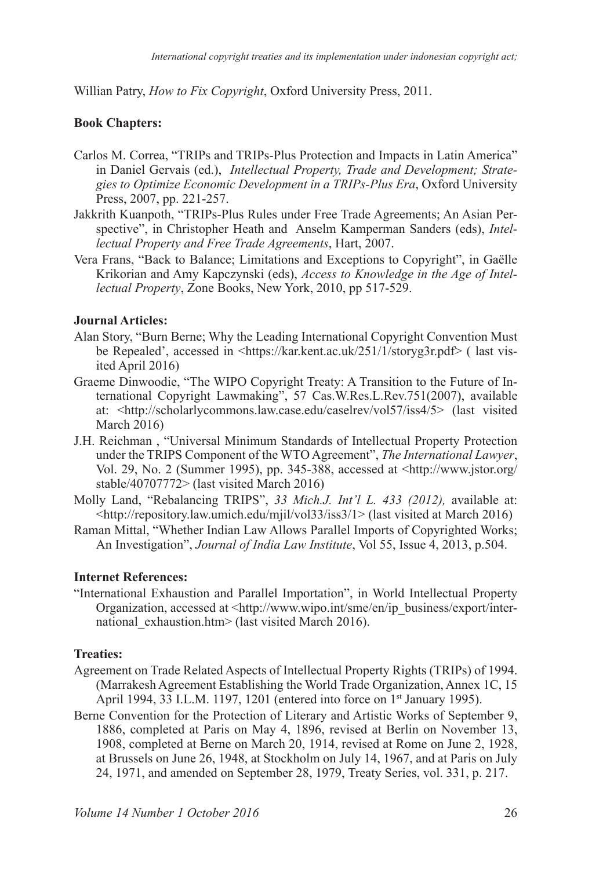Willian Patry, *How to Fix Copyright*, Oxford University Press, 2011.

#### **Book Chapters:**

- Carlos M. Correa, "TRIPs and TRIPs-Plus Protection and Impacts in Latin America" in Daniel Gervais (ed.), *Intellectual Property, Trade and Development; Strategies to Optimize Economic Development in a TRIPs-Plus Era*, Oxford University Press, 2007, pp. 221-257.
- Jakkrith Kuanpoth, "TRIPs-Plus Rules under Free Trade Agreements; An Asian Perspective", in Christopher Heath and Anselm Kamperman Sanders (eds), *Intellectual Property and Free Trade Agreements, Hart, 2007.*
- Vera Frans, "Back to Balance; Limitations and Exceptions to Copyright", in Gaëlle Krikorian and Amy Kapczynski (eds), *Access to Knowledge in the Age of Intellectual Property*, Zone Books, New York, 2010, pp 517-529.

#### **Journal Articles:**

- Alan Story, "Burn Berne; Why the Leading International Copyright Convention Must be Repealed', accessed in  $\frac{\text{https://kar.kent.ac.uk/251/1/storyg3r.pdf}}{$  (last visited April 2016)
- Graeme Dinwoodie, "The WIPO Copyright Treaty: A Transition to the Future of International Copyright Lawmaking", 57 Cas.W.Res.L.Rev.751(2007), available at: <http://scholarlycommons.law.case.edu/caselrev/vol57/iss4/5> (last visited March  $2016$ )
- J.H. Reichman , "Universal Minimum Standards of Intellectual Property Protection under the TRIPS Component of the WTO Agreement", *The International Lawyer*, Vol. 29, No. 2 (Summer 1995), pp. 345-388, accessed at <http://www.jstor.org/ stable/40707772> (last visited March 2016)
- Molly Land, "Rebalancing TRIPS", *33 Mich.J. Int'l L. 433 (2012),* available at:  $\frac{\text{th}}{\text{th}}$ //repository.law.umich.edu/miil/vol33/iss3/1> (last visited at March 2016)
- Raman Mittal, "Whether Indian Law Allows Parallel Imports of Copyrighted Works; An Investigation", *Journal of India Law Institute*, Vol 55, Issue 4, 2013, p.504.

#### **Internet References:**

"International Exhaustion and Parallel Importation", in World Intellectual Property Organization, accessed at <http://www.wipo.int/sme/en/ip\_business/export/international exhaustion.htm> (last visited March 2016).

#### **Treaties:**

- Agreement on Trade Related Aspects of Intellectual Property Rights (TRIPs) of 1994. (Marrakesh Agreement Establishing the World Trade Organization, Annex 1C, 15 April 1994, 33 I.L.M. 1197, 1201 (entered into force on  $1<sup>st</sup>$  January 1995).
- Berne Convention for the Protection of Literary and Artistic Works of September 9, 1886, completed at Paris on May 4, 1896, revised at Berlin on November 13, 1908, completed at Berne on March 20, 1914, revised at Rome on June 2, 1928, at Brussels on June 26, 1948, at Stockholm on July 14, 1967, and at Paris on July 24, 1971, and amended on September 28, 1979, Treaty Series, vol. 331, p. 217.